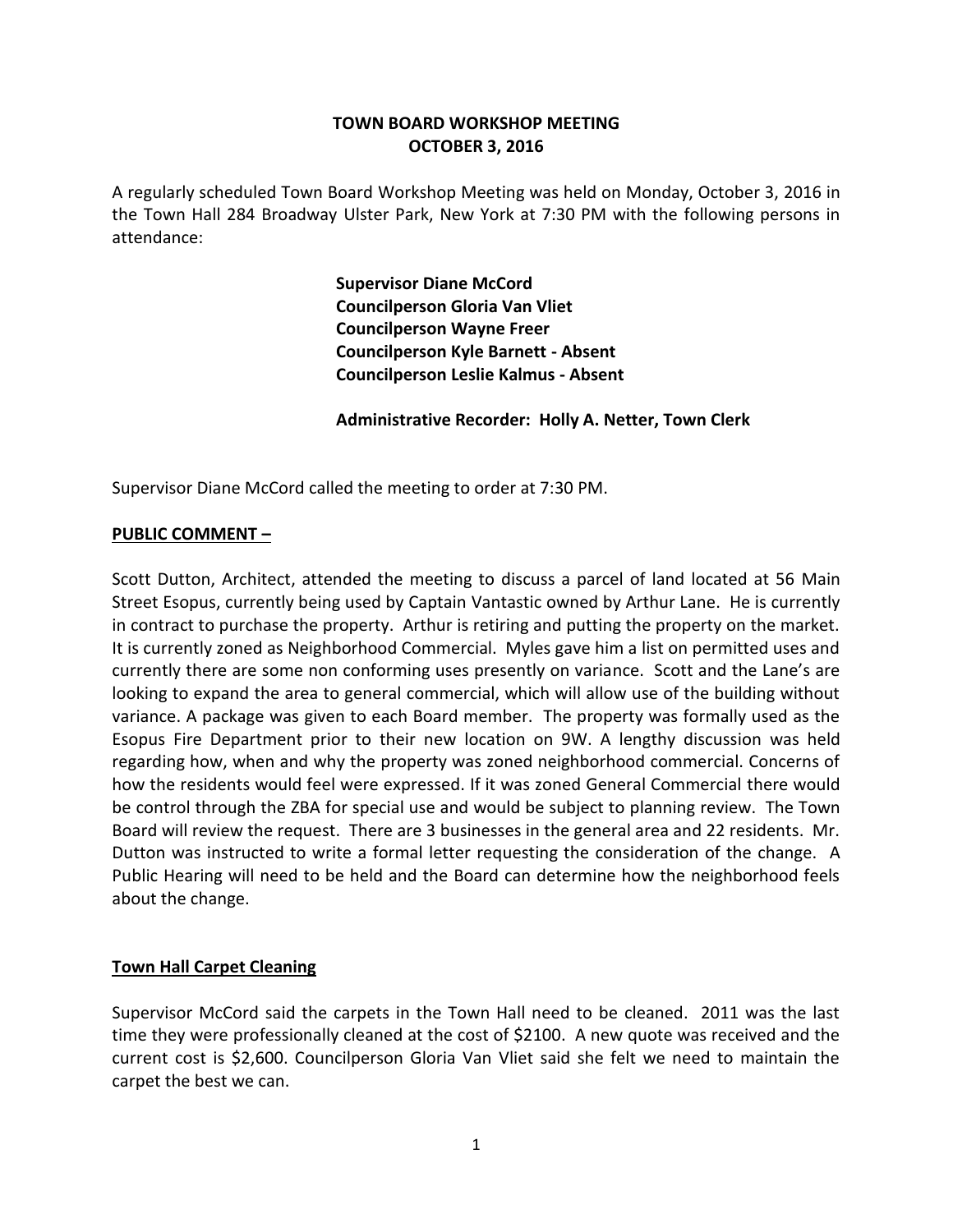# **TOWN BOARD WORKSHOP MEETING OCTOBER 3, 2016**

A regularly scheduled Town Board Workshop Meeting was held on Monday, October 3, 2016 in the Town Hall 284 Broadway Ulster Park, New York at 7:30 PM with the following persons in attendance:

> **Supervisor Diane McCord Councilperson Gloria Van Vliet Councilperson Wayne Freer Councilperson Kyle Barnett - Absent Councilperson Leslie Kalmus - Absent**

**Administrative Recorder: Holly A. Netter, Town Clerk**

Supervisor Diane McCord called the meeting to order at 7:30 PM.

#### **PUBLIC COMMENT –**

Scott Dutton, Architect, attended the meeting to discuss a parcel of land located at 56 Main Street Esopus, currently being used by Captain Vantastic owned by Arthur Lane. He is currently in contract to purchase the property. Arthur is retiring and putting the property on the market. It is currently zoned as Neighborhood Commercial. Myles gave him a list on permitted uses and currently there are some non conforming uses presently on variance. Scott and the Lane's are looking to expand the area to general commercial, which will allow use of the building without variance. A package was given to each Board member. The property was formally used as the Esopus Fire Department prior to their new location on 9W. A lengthy discussion was held regarding how, when and why the property was zoned neighborhood commercial. Concerns of how the residents would feel were expressed. If it was zoned General Commercial there would be control through the ZBA for special use and would be subject to planning review. The Town Board will review the request. There are 3 businesses in the general area and 22 residents. Mr. Dutton was instructed to write a formal letter requesting the consideration of the change. A Public Hearing will need to be held and the Board can determine how the neighborhood feels about the change.

## **Town Hall Carpet Cleaning**

Supervisor McCord said the carpets in the Town Hall need to be cleaned. 2011 was the last time they were professionally cleaned at the cost of \$2100. A new quote was received and the current cost is \$2,600. Councilperson Gloria Van Vliet said she felt we need to maintain the carpet the best we can.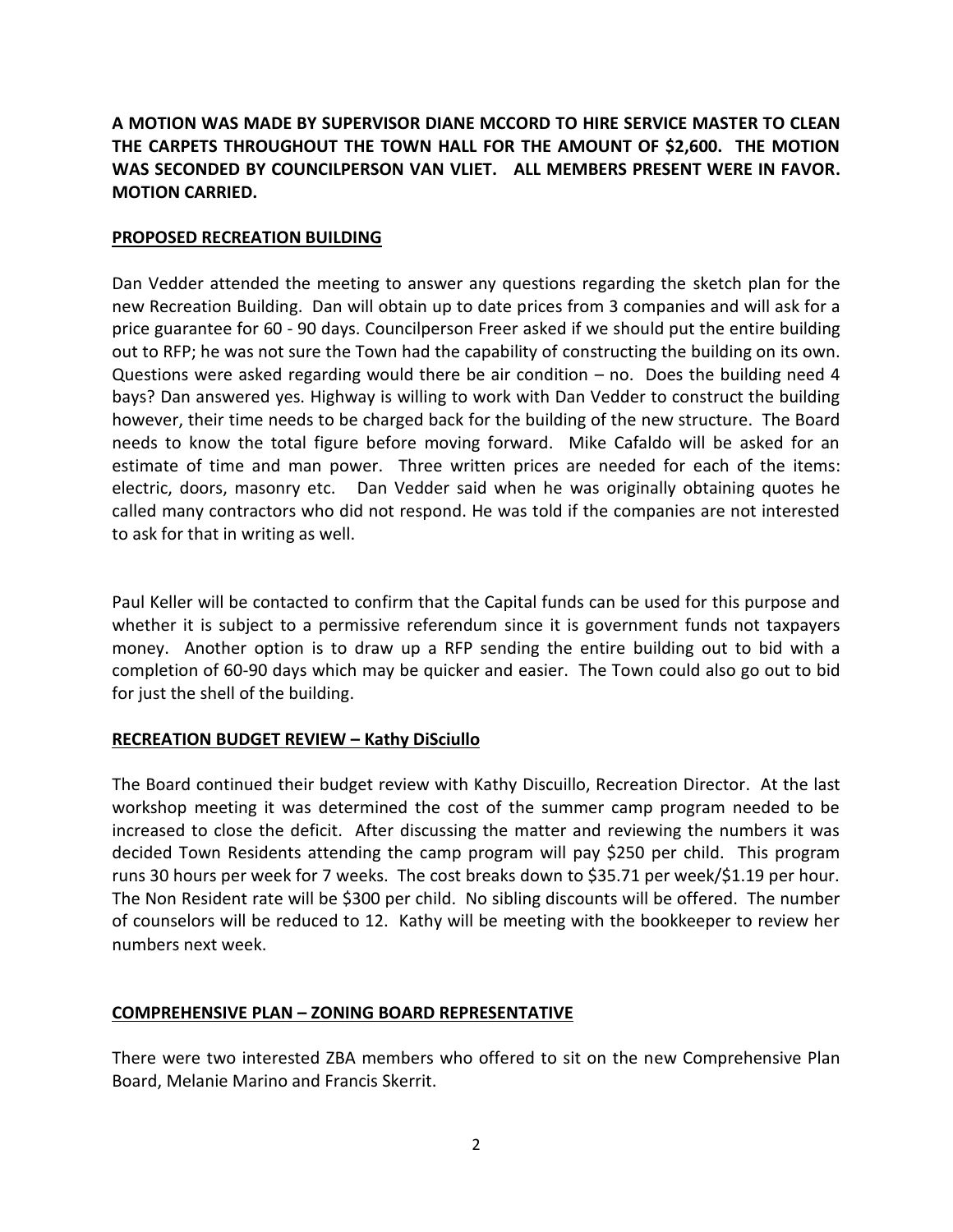**A MOTION WAS MADE BY SUPERVISOR DIANE MCCORD TO HIRE SERVICE MASTER TO CLEAN THE CARPETS THROUGHOUT THE TOWN HALL FOR THE AMOUNT OF \$2,600. THE MOTION WAS SECONDED BY COUNCILPERSON VAN VLIET. ALL MEMBERS PRESENT WERE IN FAVOR. MOTION CARRIED.**

## **PROPOSED RECREATION BUILDING**

Dan Vedder attended the meeting to answer any questions regarding the sketch plan for the new Recreation Building. Dan will obtain up to date prices from 3 companies and will ask for a price guarantee for 60 - 90 days. Councilperson Freer asked if we should put the entire building out to RFP; he was not sure the Town had the capability of constructing the building on its own. Questions were asked regarding would there be air condition – no. Does the building need 4 bays? Dan answered yes. Highway is willing to work with Dan Vedder to construct the building however, their time needs to be charged back for the building of the new structure. The Board needs to know the total figure before moving forward. Mike Cafaldo will be asked for an estimate of time and man power. Three written prices are needed for each of the items: electric, doors, masonry etc. Dan Vedder said when he was originally obtaining quotes he called many contractors who did not respond. He was told if the companies are not interested to ask for that in writing as well.

Paul Keller will be contacted to confirm that the Capital funds can be used for this purpose and whether it is subject to a permissive referendum since it is government funds not taxpayers money. Another option is to draw up a RFP sending the entire building out to bid with a completion of 60-90 days which may be quicker and easier. The Town could also go out to bid for just the shell of the building.

# **RECREATION BUDGET REVIEW – Kathy DiSciullo**

The Board continued their budget review with Kathy Discuillo, Recreation Director. At the last workshop meeting it was determined the cost of the summer camp program needed to be increased to close the deficit. After discussing the matter and reviewing the numbers it was decided Town Residents attending the camp program will pay \$250 per child. This program runs 30 hours per week for 7 weeks. The cost breaks down to \$35.71 per week/\$1.19 per hour. The Non Resident rate will be \$300 per child. No sibling discounts will be offered. The number of counselors will be reduced to 12. Kathy will be meeting with the bookkeeper to review her numbers next week.

# **COMPREHENSIVE PLAN – ZONING BOARD REPRESENTATIVE**

There were two interested ZBA members who offered to sit on the new Comprehensive Plan Board, Melanie Marino and Francis Skerrit.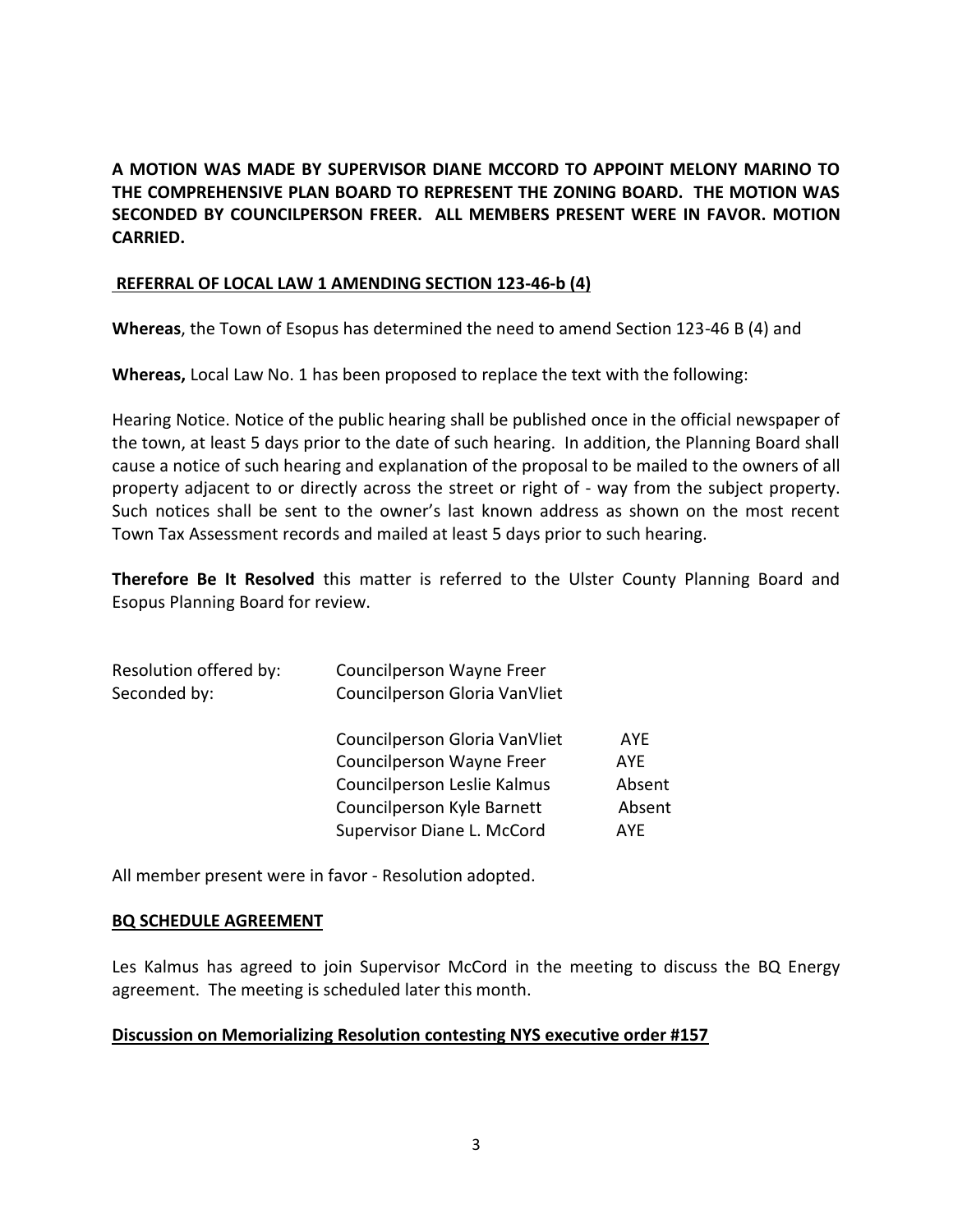**A MOTION WAS MADE BY SUPERVISOR DIANE MCCORD TO APPOINT MELONY MARINO TO THE COMPREHENSIVE PLAN BOARD TO REPRESENT THE ZONING BOARD. THE MOTION WAS SECONDED BY COUNCILPERSON FREER. ALL MEMBERS PRESENT WERE IN FAVOR. MOTION CARRIED.** 

## **REFERRAL OF LOCAL LAW 1 AMENDING SECTION 123-46-b (4)**

**Whereas**, the Town of Esopus has determined the need to amend Section 123-46 B (4) and

**Whereas,** Local Law No. 1 has been proposed to replace the text with the following:

Hearing Notice. Notice of the public hearing shall be published once in the official newspaper of the town, at least 5 days prior to the date of such hearing. In addition, the Planning Board shall cause a notice of such hearing and explanation of the proposal to be mailed to the owners of all property adjacent to or directly across the street or right of - way from the subject property. Such notices shall be sent to the owner's last known address as shown on the most recent Town Tax Assessment records and mailed at least 5 days prior to such hearing.

**Therefore Be It Resolved** this matter is referred to the Ulster County Planning Board and Esopus Planning Board for review.

| Councilperson Wayne Freer        |            |
|----------------------------------|------------|
| Councilperson Gloria VanVliet    |            |
| Councilperson Gloria VanVliet    | <b>AYF</b> |
| <b>Councilperson Wayne Freer</b> | <b>AYF</b> |
| Councilperson Leslie Kalmus      | Absent     |
| Councilperson Kyle Barnett       | Absent     |
| Supervisor Diane L. McCord       | AYF.       |
|                                  |            |

All member present were in favor - Resolution adopted.

#### **BQ SCHEDULE AGREEMENT**

Les Kalmus has agreed to join Supervisor McCord in the meeting to discuss the BQ Energy agreement. The meeting is scheduled later this month.

## **Discussion on Memorializing Resolution contesting NYS executive order #157**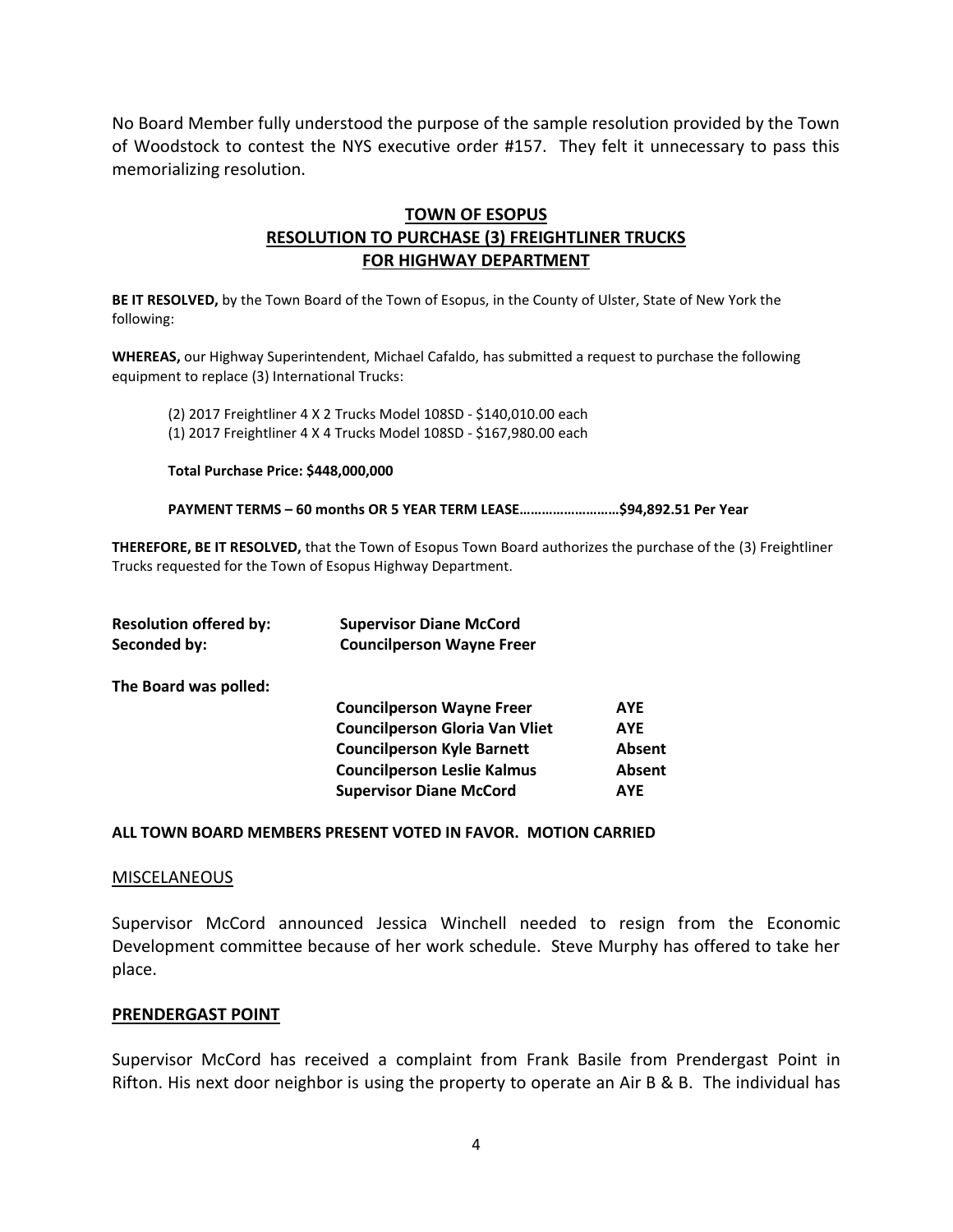No Board Member fully understood the purpose of the sample resolution provided by the Town of Woodstock to contest the NYS executive order #157. They felt it unnecessary to pass this memorializing resolution.

# **TOWN OF ESOPUS RESOLUTION TO PURCHASE (3) FREIGHTLINER TRUCKS FOR HIGHWAY DEPARTMENT**

**BE IT RESOLVED,** by the Town Board of the Town of Esopus, in the County of Ulster, State of New York the following:

**WHEREAS,** our Highway Superintendent, Michael Cafaldo, has submitted a request to purchase the following equipment to replace (3) International Trucks:

(2) 2017 Freightliner 4 X 2 Trucks Model 108SD - \$140,010.00 each (1) 2017 Freightliner 4 X 4 Trucks Model 108SD - \$167,980.00 each

**Total Purchase Price: \$448,000,000**

**PAYMENT TERMS – 60 months OR 5 YEAR TERM LEASE………………………\$94,892.51 Per Year**

**THEREFORE, BE IT RESOLVED,** that the Town of Esopus Town Board authorizes the purchase of the (3) Freightliner Trucks requested for the Town of Esopus Highway Department.

| <b>Resolution offered by:</b> | <b>Supervisor Diane McCord</b>        |            |
|-------------------------------|---------------------------------------|------------|
| Seconded by:                  | <b>Councilperson Wayne Freer</b>      |            |
| The Board was polled:         |                                       |            |
|                               | <b>Councilperson Wayne Freer</b>      | <b>AYE</b> |
|                               | <b>Councilperson Gloria Van Vliet</b> | <b>AYE</b> |
|                               | <b>Councilperson Kyle Barnett</b>     | Absent     |
|                               | <b>Councilperson Leslie Kalmus</b>    | Absent     |
|                               | <b>Supervisor Diane McCord</b>        | <b>AYE</b> |
|                               |                                       |            |

#### **ALL TOWN BOARD MEMBERS PRESENT VOTED IN FAVOR. MOTION CARRIED**

#### **MISCELANEOUS**

Supervisor McCord announced Jessica Winchell needed to resign from the Economic Development committee because of her work schedule. Steve Murphy has offered to take her place.

#### **PRENDERGAST POINT**

Supervisor McCord has received a complaint from Frank Basile from Prendergast Point in Rifton. His next door neighbor is using the property to operate an Air B & B. The individual has